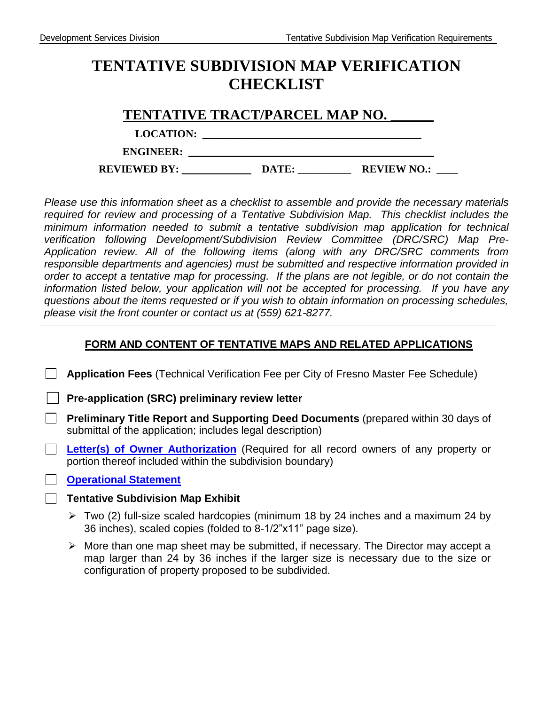# **TENTATIVE SUBDIVISION MAP VERIFICATION CHECKLIST**

|                     | TENTATIVE TRACT/PARCEL MAP NO. |                    |
|---------------------|--------------------------------|--------------------|
| <b>LOCATION:</b>    |                                |                    |
| <b>ENGINEER:</b>    |                                |                    |
| <b>REVIEWED BY:</b> | DATE:                          | <b>REVIEW NO.:</b> |

*Please use this information sheet as a checklist to assemble and provide the necessary materials required for review and processing of a Tentative Subdivision Map. This checklist includes the minimum information needed to submit a tentative subdivision map application for technical verification following Development/Subdivision Review Committee (DRC/SRC) Map Pre-Application review. All of the following items (along with any DRC/SRC comments from responsible departments and agencies) must be submitted and respective information provided in order to accept a tentative map for processing. If the plans are not legible, or do not contain the information listed below, your application will not be accepted for processing. If you have any questions about the items requested or if you wish to obtain information on processing schedules, please visit the front counter or contact us at (559) 621-8277.* 

## **FORM AND CONTENT OF TENTATIVE MAPS AND RELATED APPLICATIONS**

**Application Fees** (Technical Verification Fee per City of Fresno Master Fee Schedule)

☐ **Pre-application (SRC) preliminary review letter**

- **Preliminary Title Report and Supporting Deed Documents** (prepared within 30 days of submittal of the application; includes legal description)
- **Letter(s) [of Owner Authorization](https://webapp.fresno.gov/docs/darm/PlanningDocs/C4.B.6%20-%20Letter%20of%20Owner%20Authorization.pdf)** (Required for all record owners of any property or portion thereof included within the subdivision boundary)

### **Coperational Statement**

### **Tentative Subdivision Map Exhibit**

- Two (2) full-size scaled hardcopies (minimum 18 by 24 inches and a maximum 24 by 36 inches), scaled copies (folded to 8-1/2"x11" page size).
- $\triangleright$  More than one map sheet may be submitted, if necessary. The Director may accept a map larger than 24 by 36 inches if the larger size is necessary due to the size or configuration of property proposed to be subdivided.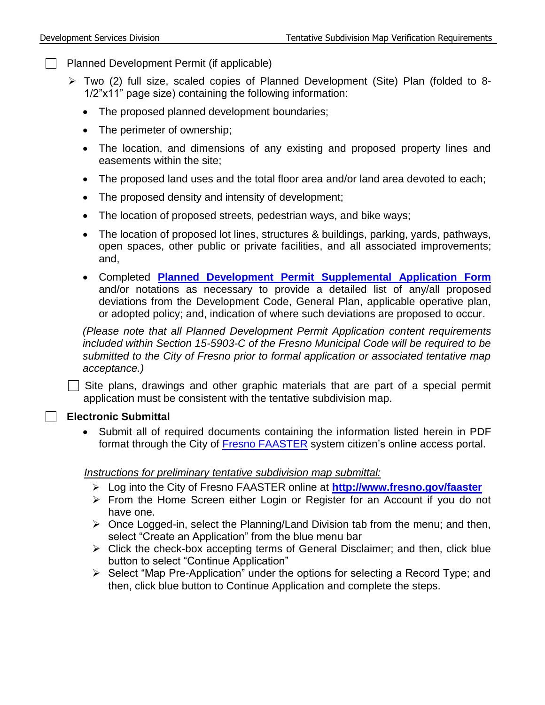$\Box$  Planned Development Permit (if applicable)

- Two (2) full size, scaled copies of Planned Development (Site) Plan (folded to 8- 1/2"x11" page size) containing the following information:
	- The proposed planned development boundaries;
	- The perimeter of ownership;
	- The location, and dimensions of any existing and proposed property lines and easements within the site;
	- The proposed land uses and the total floor area and/or land area devoted to each;
	- The proposed density and intensity of development;
	- The location of proposed streets, pedestrian ways, and bike ways;
	- The location of proposed lot lines, structures & buildings, parking, yards, pathways, open spaces, other public or private facilities, and all associated improvements; and,
	- Completed **[Planned Development Permit Supplemental Application Form](https://webapp.fresno.gov/docs/darm/PlanningDocs/G9%20-%20Planned%20Development%20-%20Supplemental%20Information.pdf)**  and/or notations as necessary to provide a detailed list of any/all proposed deviations from the Development Code, General Plan, applicable operative plan, or adopted policy; and, indication of where such deviations are proposed to occur.

*(Please note that all Planned Development Permit Application content requirements included within Section 15-5903-C of the Fresno Municipal Code will be required to be submitted to the City of Fresno prior to formal application or associated tentative map acceptance.)*

 $\Box$  Site plans, drawings and other graphic materials that are part of a special permit application must be consistent with the tentative subdivision map.

### **Electronic Submittal**

 Submit all of required documents containing the information listed herein in PDF format through the City of [Fresno FAASTER](http://www.fresno.gov/faaster) system citizen's online access portal.

### *Instructions for preliminary tentative subdivision map submittal:*

- Log into the City of Fresno FAASTER online at **<http://www.fresno.gov/faaster>**
- From the Home Screen either Login or Register for an Account if you do not have one.
- $\triangleright$  Once Logged-in, select the Planning/Land Division tab from the menu; and then, select "Create an Application" from the blue menu bar
- $\triangleright$  Click the check-box accepting terms of General Disclaimer; and then, click blue button to select "Continue Application"
- $\triangleright$  Select "Map Pre-Application" under the options for selecting a Record Type; and then, click blue button to Continue Application and complete the steps.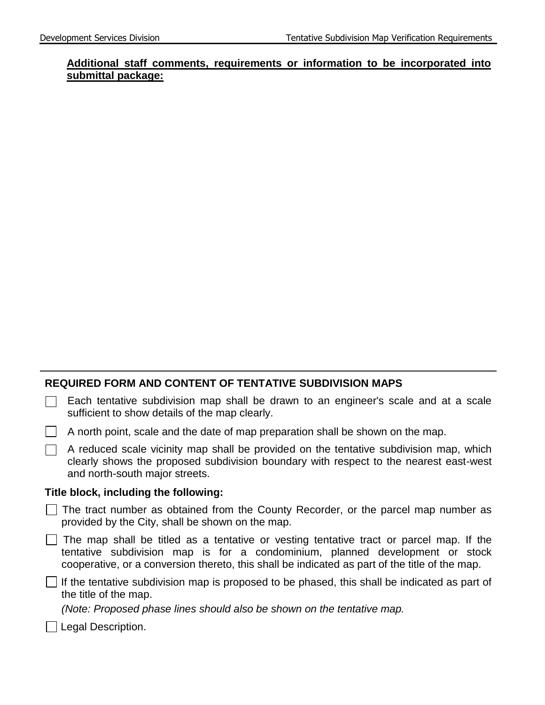### **Additional staff comments, requirements or information to be incorporated into submittal package:**

#### **REQUIRED FORM AND CONTENT OF TENTATIVE SUBDIVISION MAPS**

| $\Box$ Each tentative subdivision map shall be drawn to an engineer's scale and at a scale |  |  |  |  |  |  |  |
|--------------------------------------------------------------------------------------------|--|--|--|--|--|--|--|
| sufficient to show details of the map clearly.                                             |  |  |  |  |  |  |  |

|  |  | A north point, scale and the date of map preparation shall be shown on the map. |
|--|--|---------------------------------------------------------------------------------|
|  |  |                                                                                 |

| $\Box$ A reduced scale vicinity map shall be provided on the tentative subdivision map, which |
|-----------------------------------------------------------------------------------------------|
| clearly shows the proposed subdivision boundary with respect to the nearest east-west         |
| and north-south major streets.                                                                |

#### **Title block, including the following:**

|                                                  |  |  |  | $\Box$ The tract number as obtained from the County Recorder, or the parcel map number as |  |  |  |
|--------------------------------------------------|--|--|--|-------------------------------------------------------------------------------------------|--|--|--|
| provided by the City, shall be shown on the map. |  |  |  |                                                                                           |  |  |  |

 $\Box$  The map shall be titled as a tentative or vesting tentative tract or parcel map. If the tentative subdivision map is for a condominium, planned development or stock cooperative, or a conversion thereto, this shall be indicated as part of the title of the map.

 $\Box$  If the tentative subdivision map is proposed to be phased, this shall be indicated as part of the title of the map.

*(Note: Proposed phase lines should also be shown on the tentative map.*

Legal Description.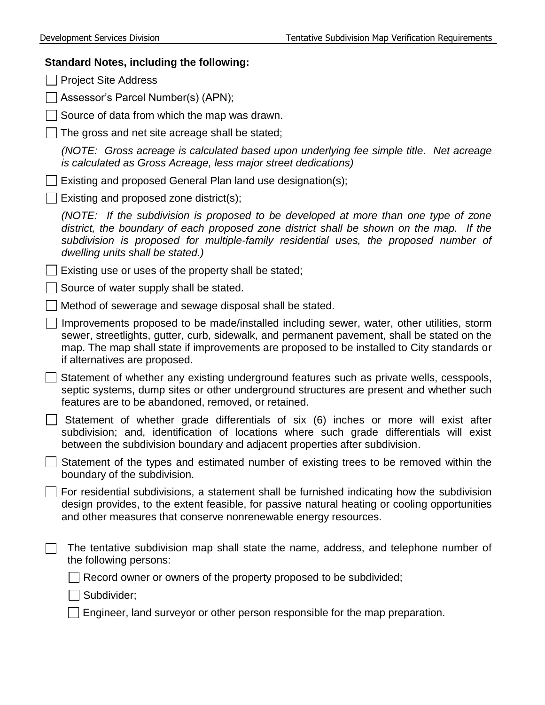# **Standard Notes, including the following:**

| <b>Project Site Address</b>                                                                                                                                                                                                                                                                                             |
|-------------------------------------------------------------------------------------------------------------------------------------------------------------------------------------------------------------------------------------------------------------------------------------------------------------------------|
| Assessor's Parcel Number(s) (APN);                                                                                                                                                                                                                                                                                      |
| Source of data from which the map was drawn.                                                                                                                                                                                                                                                                            |
| The gross and net site acreage shall be stated;                                                                                                                                                                                                                                                                         |
| (NOTE: Gross acreage is calculated based upon underlying fee simple title. Net acreage<br>is calculated as Gross Acreage, less major street dedications)                                                                                                                                                                |
| Existing and proposed General Plan land use designation(s);                                                                                                                                                                                                                                                             |
| Existing and proposed zone district(s);                                                                                                                                                                                                                                                                                 |
| (NOTE: If the subdivision is proposed to be developed at more than one type of zone<br>district, the boundary of each proposed zone district shall be shown on the map. If the<br>subdivision is proposed for multiple-family residential uses, the proposed number of<br>dwelling units shall be stated.)              |
| Existing use or uses of the property shall be stated;                                                                                                                                                                                                                                                                   |
| Source of water supply shall be stated.                                                                                                                                                                                                                                                                                 |
| Method of sewerage and sewage disposal shall be stated.                                                                                                                                                                                                                                                                 |
| Improvements proposed to be made/installed including sewer, water, other utilities, storm<br>sewer, streetlights, gutter, curb, sidewalk, and permanent pavement, shall be stated on the<br>map. The map shall state if improvements are proposed to be installed to City standards or<br>if alternatives are proposed. |
| Statement of whether any existing underground features such as private wells, cesspools,<br>septic systems, dump sites or other underground structures are present and whether such<br>features are to be abandoned, removed, or retained.                                                                              |
| Statement of whether grade differentials of six (6) inches or more will exist after<br>subdivision; and, identification of locations where such grade differentials will exist<br>between the subdivision boundary and adjacent properties after subdivision.                                                           |
| Statement of the types and estimated number of existing trees to be removed within the<br>boundary of the subdivision.                                                                                                                                                                                                  |
| For residential subdivisions, a statement shall be furnished indicating how the subdivision<br>design provides, to the extent feasible, for passive natural heating or cooling opportunities<br>and other measures that conserve nonrenewable energy resources.                                                         |
| The tentative subdivision map shall state the name, address, and telephone number of<br>the following persons:                                                                                                                                                                                                          |
| Record owner or owners of the property proposed to be subdivided;                                                                                                                                                                                                                                                       |
| Subdivider;                                                                                                                                                                                                                                                                                                             |
| Engineer, land surveyor or other person responsible for the map preparation.                                                                                                                                                                                                                                            |
|                                                                                                                                                                                                                                                                                                                         |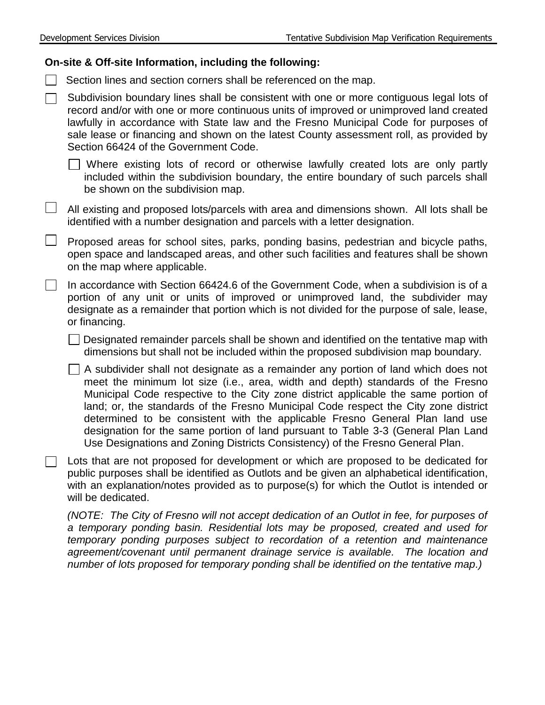#### **On-site & Off-site Information, including the following:**

 $\Box$  Section lines and section corners shall be referenced on the map.

 $\Box$  Subdivision boundary lines shall be consistent with one or more contiguous legal lots of record and/or with one or more continuous units of improved or unimproved land created lawfully in accordance with State law and the Fresno Municipal Code for purposes of sale lease or financing and shown on the latest County assessment roll, as provided by Section 66424 of the Government Code.

Where existing lots of record or otherwise lawfully created lots are only partly included within the subdivision boundary, the entire boundary of such parcels shall be shown on the subdivision map.

 $\Box$  All existing and proposed lots/parcels with area and dimensions shown. All lots shall be identified with a number designation and parcels with a letter designation.

Proposed areas for school sites, parks, ponding basins, pedestrian and bicycle paths, open space and landscaped areas, and other such facilities and features shall be shown on the map where applicable.

In accordance with Section 66424.6 of the Government Code, when a subdivision is of a  $\Box$ portion of any unit or units of improved or unimproved land, the subdivider may designate as a remainder that portion which is not divided for the purpose of sale, lease, or financing.

 $\Box$  Designated remainder parcels shall be shown and identified on the tentative map with dimensions but shall not be included within the proposed subdivision map boundary.

 $\Box$  A subdivider shall not designate as a remainder any portion of land which does not meet the minimum lot size (i.e., area, width and depth) standards of the Fresno Municipal Code respective to the City zone district applicable the same portion of land; or, the standards of the Fresno Municipal Code respect the City zone district determined to be consistent with the applicable Fresno General Plan land use designation for the same portion of land pursuant to Table 3-3 (General Plan Land Use Designations and Zoning Districts Consistency) of the Fresno General Plan.

 $\Box$  Lots that are not proposed for development or which are proposed to be dedicated for public purposes shall be identified as Outlots and be given an alphabetical identification, with an explanation/notes provided as to purpose(s) for which the Outlot is intended or will be dedicated.

*(NOTE: The City of Fresno will not accept dedication of an Outlot in fee, for purposes of a temporary ponding basin. Residential lots may be proposed, created and used for temporary ponding purposes subject to recordation of a retention and maintenance agreement/covenant until permanent drainage service is available. The location and number of lots proposed for temporary ponding shall be identified on the tentative map.)*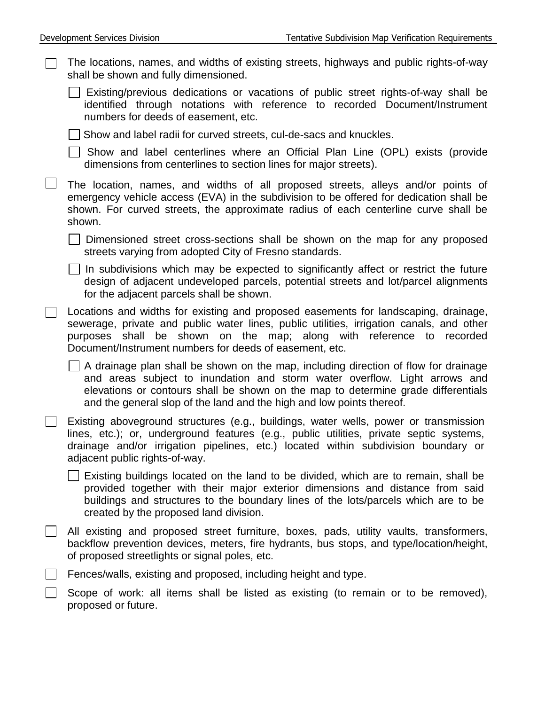| Development Services Division                                                                                                                                                                                                                                                                             | Tentative Subdivision Map Verification Requirements                                                                                                                                                                                                        |
|-----------------------------------------------------------------------------------------------------------------------------------------------------------------------------------------------------------------------------------------------------------------------------------------------------------|------------------------------------------------------------------------------------------------------------------------------------------------------------------------------------------------------------------------------------------------------------|
| The locations, names, and widths of existing streets, highways and public rights-of-way<br>shall be shown and fully dimensioned.                                                                                                                                                                          |                                                                                                                                                                                                                                                            |
| numbers for deeds of easement, etc.                                                                                                                                                                                                                                                                       | Existing/previous dedications or vacations of public street rights-of-way shall be<br>identified through notations with reference to recorded Document/Instrument                                                                                          |
| Show and label radii for curved streets, cul-de-sacs and knuckles.                                                                                                                                                                                                                                        |                                                                                                                                                                                                                                                            |
| dimensions from centerlines to section lines for major streets).                                                                                                                                                                                                                                          | Show and label centerlines where an Official Plan Line (OPL) exists (provide                                                                                                                                                                               |
| The location, names, and widths of all proposed streets, alleys and/or points of<br>emergency vehicle access (EVA) in the subdivision to be offered for dedication shall be<br>shown. For curved streets, the approximate radius of each centerline curve shall be<br>shown.                              |                                                                                                                                                                                                                                                            |
| Dimensioned street cross-sections shall be shown on the map for any proposed<br>streets varying from adopted City of Fresno standards.                                                                                                                                                                    |                                                                                                                                                                                                                                                            |
| for the adjacent parcels shall be shown.                                                                                                                                                                                                                                                                  | In subdivisions which may be expected to significantly affect or restrict the future<br>design of adjacent undeveloped parcels, potential streets and lot/parcel alignments                                                                                |
| Locations and widths for existing and proposed easements for landscaping, drainage,<br>sewerage, private and public water lines, public utilities, irrigation canals, and other<br>purposes shall be shown on the map; along with reference to<br>Document/Instrument numbers for deeds of easement, etc. | recorded                                                                                                                                                                                                                                                   |
| and the general slop of the land and the high and low points thereof.                                                                                                                                                                                                                                     | A drainage plan shall be shown on the map, including direction of flow for drainage<br>and areas subject to inundation and storm water overflow. Light arrows and<br>elevations or contours shall be shown on the map to determine grade differentials     |
| Existing aboveground structures (e.g., buildings, water wells, power or transmission<br>lines, etc.); or, underground features (e.g., public utilities, private septic systems,<br>drainage and/or irrigation pipelines, etc.) located within subdivision boundary or<br>adjacent public rights-of-way.   |                                                                                                                                                                                                                                                            |
| created by the proposed land division.                                                                                                                                                                                                                                                                    | Existing buildings located on the land to be divided, which are to remain, shall be<br>provided together with their major exterior dimensions and distance from said<br>buildings and structures to the boundary lines of the lots/parcels which are to be |
| All existing and proposed street furniture, boxes, pads, utility vaults, transformers,<br>backflow prevention devices, meters, fire hydrants, bus stops, and type/location/height,<br>of proposed streetlights or signal poles, etc.                                                                      |                                                                                                                                                                                                                                                            |
| Fences/walls, existing and proposed, including height and type.                                                                                                                                                                                                                                           |                                                                                                                                                                                                                                                            |
| Scope of work: all items shall be listed as existing (to remain or to be removed),<br>proposed or future.                                                                                                                                                                                                 |                                                                                                                                                                                                                                                            |
|                                                                                                                                                                                                                                                                                                           |                                                                                                                                                                                                                                                            |